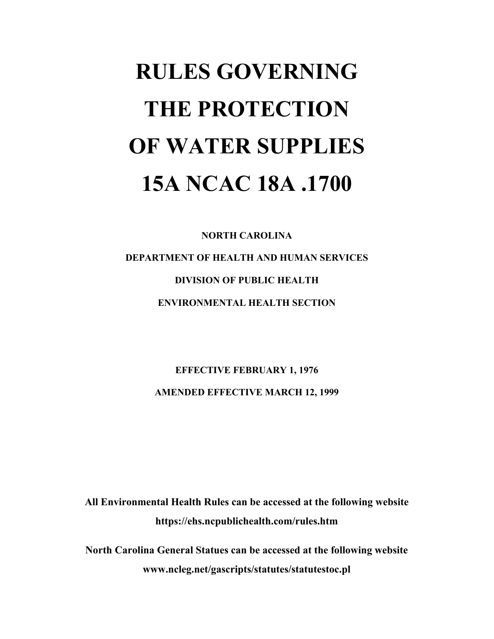# **RULES GOVERNING THE PROTECTION OF WATER SUPPLIES 15A NCAC 18A .1700**

**NORTH CAROLINA DEPARTMENT OF HEALTH AND HUMAN SERVICES DIVISION OF PUBLIC HEALTH ENVIRONMENTAL HEALTH SECTION** 

> **EFFECTIVE FEBRUARY 1, 1976 AMENDED EFFECTIVE MARCH 12, 1999**

**All Environmental Health Rules can be accessed at the following website https://ehs.ncpublichealth.com/rules.htm** 

**North Carolina General Statues can be accessed at the following website www.ncleg.net/gascripts/statutes/statutestoc.pl**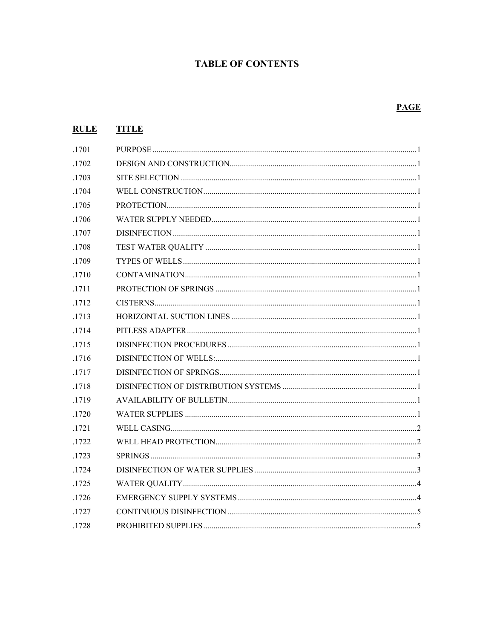## **TABLE OF CONTENTS**

### **PAGE**

## **RULE TITLE**

| .1701 |  |
|-------|--|
| .1702 |  |
| .1703 |  |
| .1704 |  |
| .1705 |  |
| .1706 |  |
| .1707 |  |
| .1708 |  |
| .1709 |  |
| .1710 |  |
| .1711 |  |
| .1712 |  |
| .1713 |  |
| .1714 |  |
| .1715 |  |
| .1716 |  |
| .1717 |  |
| .1718 |  |
| .1719 |  |
| .1720 |  |
| .1721 |  |
| .1722 |  |
| .1723 |  |
| .1724 |  |
| .1725 |  |
| .1726 |  |
| .1727 |  |
| .1728 |  |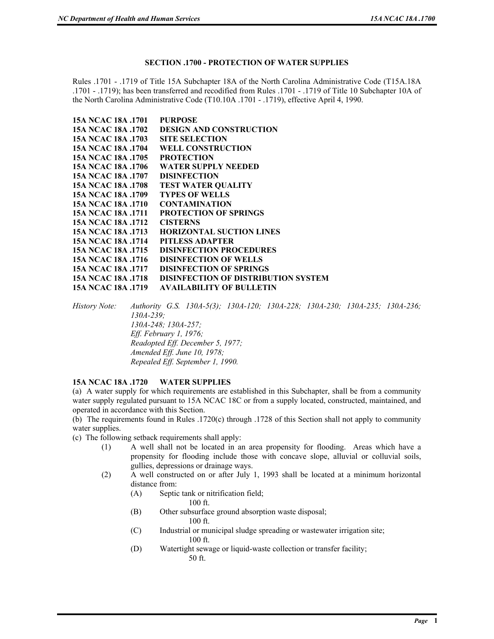#### **SECTION .1700 - PROTECTION OF WATER SUPPLIES**

Rules .1701 - .1719 of Title 15A Subchapter 18A of the North Carolina Administrative Code (T15A.18A .1701 - .1719); has been transferred and recodified from Rules .1701 - .1719 of Title 10 Subchapter 10A of the North Carolina Administrative Code (T10.10A .1701 - .1719), effective April 4, 1990.

| 15A NCAC 18A .1701        | <b>PURPOSE</b>                             |
|---------------------------|--------------------------------------------|
| 15A NCAC 18A .1702        | <b>DESIGN AND CONSTRUCTION</b>             |
| 15A NCAC 18A .1703        | <b>SITE SELECTION</b>                      |
| 15A NCAC 18A .1704        | <b>WELL CONSTRUCTION</b>                   |
| 15A NCAC 18A .1705        | <b>PROTECTION</b>                          |
| 1706. ARC 18A             | WATER SUPPLY NEEDED                        |
| 15A NCAC 18A .1707        | <b>DISINFECTION</b>                        |
| 15A NCAC 18A .1708        | <b>TEST WATER QUALITY</b>                  |
| 15A NCAC 18A .1709        | <b>TYPES OF WELLS</b>                      |
| 15A NCAC 18A .1710        | <b>CONTAMINATION</b>                       |
| 15A NCAC 18A .1711        | <b>PROTECTION OF SPRINGS</b>               |
| <b>15A NCAC 18A .1712</b> | <b>CISTERNS</b>                            |
| 15A NCAC 18A .1713        | <b>HORIZONTAL SUCTION LINES</b>            |
| 15A NCAC 18A .1714        | <b>PITLESS ADAPTER</b>                     |
| 151. 188 DCAC 184         | <b>DISINFECTION PROCEDURES</b>             |
| 15A NCAC 18A .1716        | <b>DISINFECTION OF WELLS</b>               |
| 15A NCAC 18A .1717        | <b>DISINFECTION OF SPRINGS</b>             |
| 15A NCAC 18A .1718        | <b>DISINFECTION OF DISTRIBUTION SYSTEM</b> |
| 15A NCAC 18A .1719        | <b>AVAILABILITY OF BULLETIN</b>            |
|                           |                                            |

*History Note: Authority G.S. 130A-5(3); 130A-120; 130A-228; 130A-230; 130A-235; 130A-236; 130A-239; 130A-248; 130A-257; Eff. February 1, 1976; Readopted Eff. December 5, 1977; Amended Eff. June 10, 1978; Repealed Eff. September 1, 1990.* 

#### **15A NCAC 18A .1720 WATER SUPPLIES**

(a) A water supply for which requirements are established in this Subchapter, shall be from a community water supply regulated pursuant to 15A NCAC 18C or from a supply located, constructed, maintained, and operated in accordance with this Section.

(b) The requirements found in Rules .1720(c) through .1728 of this Section shall not apply to community water supplies.

- (c) The following setback requirements shall apply:
	- (1) A well shall not be located in an area propensity for flooding. Areas which have a propensity for flooding include those with concave slope, alluvial or colluvial soils, gullies, depressions or drainage ways.
	- (2) A well constructed on or after July 1, 1993 shall be located at a minimum horizontal distance from:
		- (A) Septic tank or nitrification field;
			- 100 ft.
		- (B) Other subsurface ground absorption waste disposal;

100 ft.

- (C) Industrial or municipal sludge spreading or wastewater irrigation site; 100 ft.
- (D) Watertight sewage or liquid-waste collection or transfer facility; 50 ft.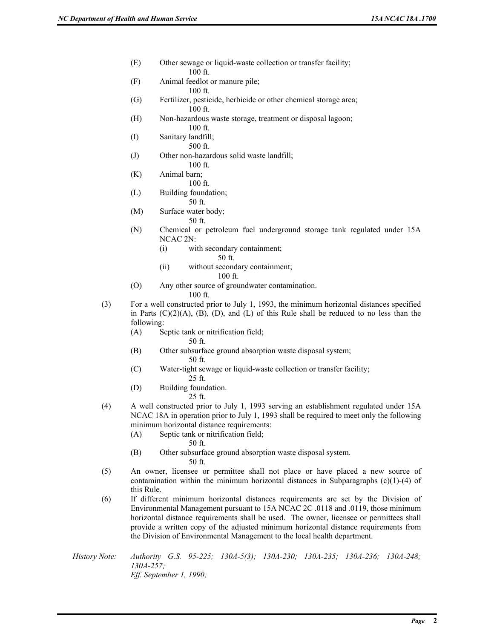- (E) Other sewage or liquid-waste collection or transfer facility; 100 ft.
- (F) Animal feedlot or manure pile; 100 ft.
- (G) Fertilizer, pesticide, herbicide or other chemical storage area; 100 ft.
- (H) Non-hazardous waste storage, treatment or disposal lagoon; 100 ft.
- (I) Sanitary landfill;
- 500 ft. (J) Other non-hazardous solid waste landfill;
	- 100 ft.
- (K) Animal barn;
	- 100 ft.
- (L) Building foundation;
- 50 ft. (M) Surface water body;
	- 50 ft.
- (N) Chemical or petroleum fuel underground storage tank regulated under 15A NCAC 2N:
	- (i) with secondary containment;
		- 50 ft.
	- (ii) without secondary containment; 100 ft.
- (O) Any other source of groundwater contamination.

100 ft.

- (3) For a well constructed prior to July 1, 1993, the minimum horizontal distances specified in Parts  $(C)(2)(A)$ ,  $(B)$ ,  $(D)$ , and  $(L)$  of this Rule shall be reduced to no less than the following:
	- (A) Septic tank or nitrification field;
		- 50 ft.
	- (B) Other subsurface ground absorption waste disposal system; 50 ft.
	- (C) Water-tight sewage or liquid-waste collection or transfer facility; 25 ft.
	- (D) Building foundation.
		- 25 ft.
- (4) A well constructed prior to July 1, 1993 serving an establishment regulated under 15A NCAC 18A in operation prior to July 1, 1993 shall be required to meet only the following minimum horizontal distance requirements:
	- (A) Septic tank or nitrification field;
		- 50 ft.
	- (B) Other subsurface ground absorption waste disposal system.
		- 50 ft.
- (5) An owner, licensee or permittee shall not place or have placed a new source of contamination within the minimum horizontal distances in Subparagraphs  $(c)(1)-(4)$  of this Rule.
- (6) If different minimum horizontal distances requirements are set by the Division of Environmental Management pursuant to 15A NCAC 2C .0118 and .0119, those minimum horizontal distance requirements shall be used. The owner, licensee or permittees shall provide a written copy of the adjusted minimum horizontal distance requirements from the Division of Environmental Management to the local health department.

*History Note: Authority G.S. 95-225; 130A-5(3); 130A-230; 130A-235; 130A-236; 130A-248; 130A-257; Eff. September 1, 1990;*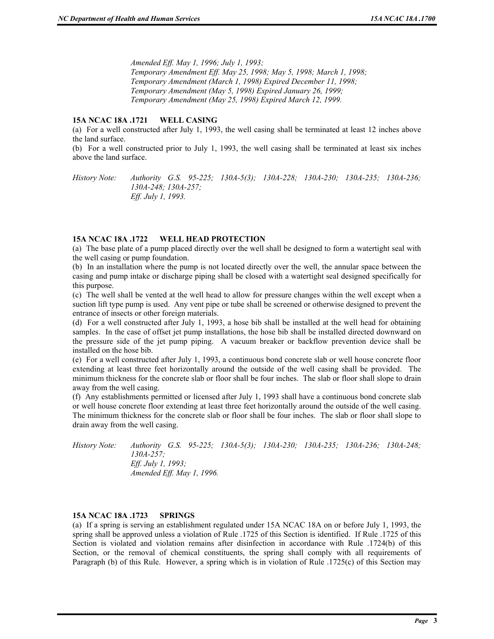*Amended Eff. May 1, 1996; July 1, 1993; Temporary Amendment Eff. May 25, 1998; May 5, 1998; March 1, 1998; Temporary Amendment (March 1, 1998) Expired December 11, 1998; Temporary Amendment (May 5, 1998) Expired January 26, 1999; Temporary Amendment (May 25, 1998) Expired March 12, 1999.* 

#### **15A NCAC 18A .1721 WELL CASING**

(a) For a well constructed after July 1, 1993, the well casing shall be terminated at least 12 inches above the land surface.

(b) For a well constructed prior to July 1, 1993, the well casing shall be terminated at least six inches above the land surface.

*History Note: Authority G.S. 95-225; 130A-5(3); 130A-228; 130A-230; 130A-235; 130A-236; 130A-248; 130A-257; Eff. July 1, 1993.* 

#### **15A NCAC 18A .1722 WELL HEAD PROTECTION**

(a) The base plate of a pump placed directly over the well shall be designed to form a watertight seal with the well casing or pump foundation.

(b) In an installation where the pump is not located directly over the well, the annular space between the casing and pump intake or discharge piping shall be closed with a watertight seal designed specifically for this purpose.

(c) The well shall be vented at the well head to allow for pressure changes within the well except when a suction lift type pump is used. Any vent pipe or tube shall be screened or otherwise designed to prevent the entrance of insects or other foreign materials.

(d) For a well constructed after July 1, 1993, a hose bib shall be installed at the well head for obtaining samples. In the case of offset jet pump installations, the hose bib shall be installed directed downward on the pressure side of the jet pump piping. A vacuum breaker or backflow prevention device shall be installed on the hose bib.

(e) For a well constructed after July 1, 1993, a continuous bond concrete slab or well house concrete floor extending at least three feet horizontally around the outside of the well casing shall be provided. The minimum thickness for the concrete slab or floor shall be four inches. The slab or floor shall slope to drain away from the well casing.

(f) Any establishments permitted or licensed after July 1, 1993 shall have a continuous bond concrete slab or well house concrete floor extending at least three feet horizontally around the outside of the well casing. The minimum thickness for the concrete slab or floor shall be four inches. The slab or floor shall slope to drain away from the well casing.

*History Note: Authority G.S. 95-225; 130A-5(3); 130A-230; 130A-235; 130A-236; 130A-248; 130A-257; Eff. July 1, 1993; Amended Eff. May 1, 1996.* 

#### **15A NCAC 18A .1723 SPRINGS**

(a) If a spring is serving an establishment regulated under 15A NCAC 18A on or before July 1, 1993, the spring shall be approved unless a violation of Rule .1725 of this Section is identified. If Rule .1725 of this Section is violated and violation remains after disinfection in accordance with Rule .1724(b) of this Section, or the removal of chemical constituents, the spring shall comply with all requirements of Paragraph (b) of this Rule. However, a spring which is in violation of Rule .1725(c) of this Section may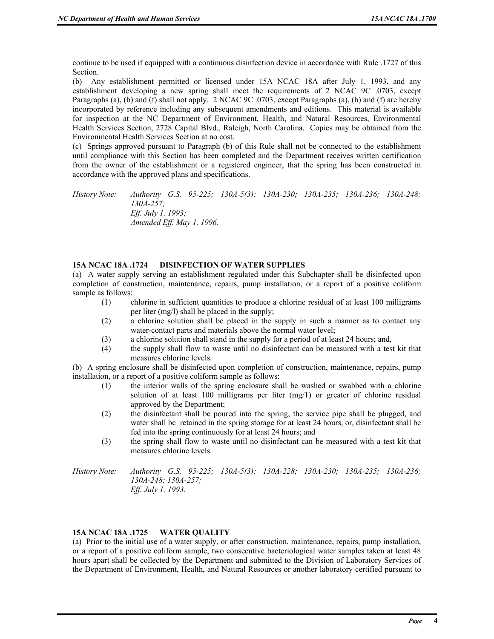continue to be used if equipped with a continuous disinfection device in accordance with Rule .1727 of this Section.

(b) Any establishment permitted or licensed under 15A NCAC 18A after July 1, 1993, and any establishment developing a new spring shall meet the requirements of 2 NCAC 9C .0703, except Paragraphs (a), (b) and (f) shall not apply. 2 NCAC 9C .0703, except Paragraphs (a), (b) and (f) are hereby incorporated by reference including any subsequent amendments and editions. This material is available for inspection at the NC Department of Environment, Health, and Natural Resources, Environmental Health Services Section, 2728 Capital Blvd., Raleigh, North Carolina. Copies may be obtained from the Environmental Health Services Section at no cost.

(c) Springs approved pursuant to Paragraph (b) of this Rule shall not be connected to the establishment until compliance with this Section has been completed and the Department receives written certification from the owner of the establishment or a registered engineer, that the spring has been constructed in accordance with the approved plans and specifications.

*History Note: Authority G.S. 95-225; 130A-5(3); 130A-230; 130A-235; 130A-236; 130A-248; 130A-257; Eff. July 1, 1993; Amended Eff. May 1, 1996.* 

#### **15A NCAC 18A .1724 DISINFECTION OF WATER SUPPLIES**

(a) A water supply serving an establishment regulated under this Subchapter shall be disinfected upon completion of construction, maintenance, repairs, pump installation, or a report of a positive coliform sample as follows:

- (1) chlorine in sufficient quantities to produce a chlorine residual of at least 100 milligrams per liter (mg/l) shall be placed in the supply;
- (2) a chlorine solution shall be placed in the supply in such a manner as to contact any water-contact parts and materials above the normal water level;
- (3) a chlorine solution shall stand in the supply for a period of at least 24 hours; and,
- (4) the supply shall flow to waste until no disinfectant can be measured with a test kit that measures chlorine levels.

(b) A spring enclosure shall be disinfected upon completion of construction, maintenance, repairs, pump installation, or a report of a positive coliform sample as follows:

- (1) the interior walls of the spring enclosure shall be washed or swabbed with a chlorine solution of at least 100 milligrams per liter (mg/1) or greater of chlorine residual approved by the Department;
- (2) the disinfectant shall be poured into the spring, the service pipe shall be plugged, and water shall be retained in the spring storage for at least 24 hours, or, disinfectant shall be fed into the spring continuously for at least 24 hours; and
- (3) the spring shall flow to waste until no disinfectant can be measured with a test kit that measures chlorine levels.

#### **15A NCAC 18A .1725 WATER QUALITY**

(a) Prior to the initial use of a water supply, or after construction, maintenance, repairs, pump installation, or a report of a positive coliform sample, two consecutive bacteriological water samples taken at least 48 hours apart shall be collected by the Department and submitted to the Division of Laboratory Services of the Department of Environment, Health, and Natural Resources or another laboratory certified pursuant to

*History Note: Authority G.S. 95-225; 130A-5(3); 130A-228; 130A-230; 130A-235; 130A-236; 130A-248; 130A-257; Eff. July 1, 1993.*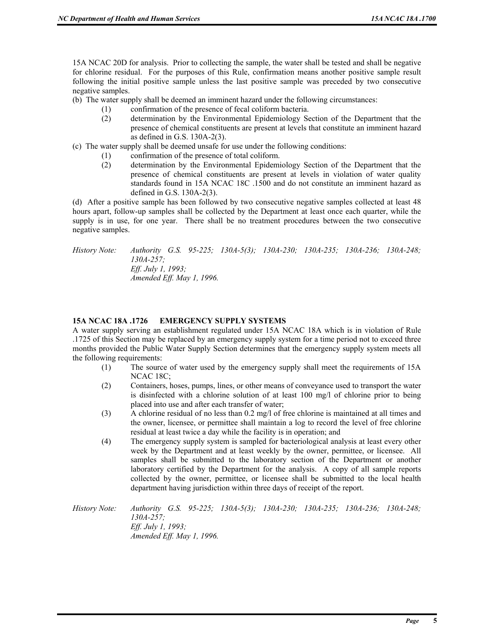15A NCAC 20D for analysis. Prior to collecting the sample, the water shall be tested and shall be negative for chlorine residual. For the purposes of this Rule, confirmation means another positive sample result following the initial positive sample unless the last positive sample was preceded by two consecutive negative samples.

(b) The water supply shall be deemed an imminent hazard under the following circumstances:

- (1) confirmation of the presence of fecal coliform bacteria.
	- (2) determination by the Environmental Epidemiology Section of the Department that the presence of chemical constituents are present at levels that constitute an imminent hazard as defined in G.S. 130A-2(3).
- (c) The water supply shall be deemed unsafe for use under the following conditions:
	- (1) confirmation of the presence of total coliform.
	- (2) determination by the Environmental Epidemiology Section of the Department that the presence of chemical constituents are present at levels in violation of water quality standards found in 15A NCAC 18C .1500 and do not constitute an imminent hazard as defined in G.S. 130A-2(3).

(d) After a positive sample has been followed by two consecutive negative samples collected at least 48 hours apart, follow-up samples shall be collected by the Department at least once each quarter, while the supply is in use, for one year. There shall be no treatment procedures between the two consecutive negative samples.

*History Note: Authority G.S. 95-225; 130A-5(3); 130A-230; 130A-235; 130A-236; 130A-248; 130A-257; Eff. July 1, 1993; Amended Eff. May 1, 1996.* 

#### **15A NCAC 18A .1726 EMERGENCY SUPPLY SYSTEMS**

A water supply serving an establishment regulated under 15A NCAC 18A which is in violation of Rule .1725 of this Section may be replaced by an emergency supply system for a time period not to exceed three months provided the Public Water Supply Section determines that the emergency supply system meets all the following requirements:

- (1) The source of water used by the emergency supply shall meet the requirements of 15A NCAC 18C;
- (2) Containers, hoses, pumps, lines, or other means of conveyance used to transport the water is disinfected with a chlorine solution of at least 100 mg/l of chlorine prior to being placed into use and after each transfer of water;
- (3) A chlorine residual of no less than 0.2 mg/l of free chlorine is maintained at all times and the owner, licensee, or permittee shall maintain a log to record the level of free chlorine residual at least twice a day while the facility is in operation; and
- (4) The emergency supply system is sampled for bacteriological analysis at least every other week by the Department and at least weekly by the owner, permittee, or licensee. All samples shall be submitted to the laboratory section of the Department or another laboratory certified by the Department for the analysis. A copy of all sample reports collected by the owner, permittee, or licensee shall be submitted to the local health department having jurisdiction within three days of receipt of the report.

*History Note: Authority G.S. 95-225; 130A-5(3); 130A-230; 130A-235; 130A-236; 130A-248; 130A-257; Eff. July 1, 1993; Amended Eff. May 1, 1996.*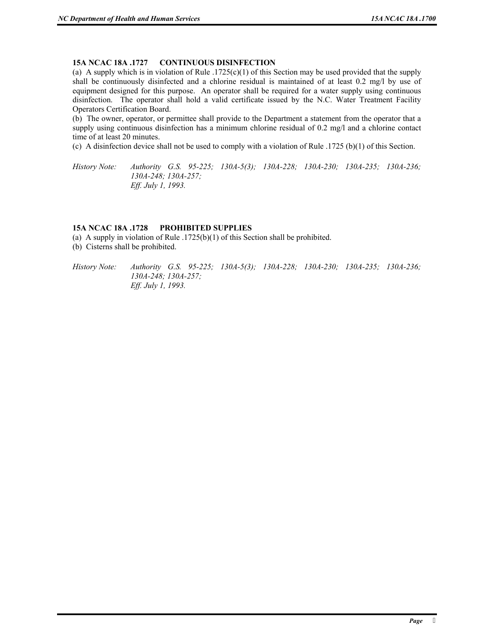#### **15A NCAC 18A .1727 CONTINUOUS DISINFECTION**

(a) A supply which is in violation of Rule .1725(c)(1) of this Section may be used provided that the supply shall be continuously disinfected and a chlorine residual is maintained of at least 0.2 mg/l by use of equipment designed for this purpose. An operator shall be required for a water supply using continuous disinfection. The operator shall hold a valid certificate issued by the N.C. Water Treatment Facility Operators Certification Board.

(b) The owner, operator, or permittee shall provide to the Department a statement from the operator that a supply using continuous disinfection has a minimum chlorine residual of 0.2 mg/l and a chlorine contact time of at least 20 minutes.

(c) A disinfection device shall not be used to comply with a violation of Rule .1725 (b)(1) of this Section.

*History Note: Authority G.S. 95-225; 130A-5(3); 130A-228; 130A-230; 130A-235; 130A-236; 130A-248; 130A-257; Eff. July 1, 1993.* 

#### **15A NCAC 18A .1728 PROHIBITED SUPPLIES**

(a) A supply in violation of Rule .1725(b)(1) of this Section shall be prohibited.

(b) Cisterns shall be prohibited.

*History Note: Authority G.S. 95-225; 130A-5(3); 130A-228; 130A-230; 130A-235; 130A-236; 130A-248; 130A-257; Eff. July 1, 1993.*